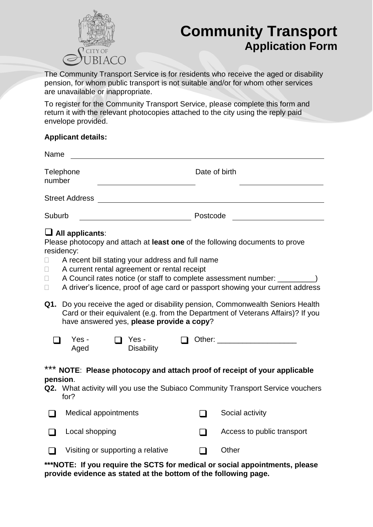

# **Community Transport Application Form**

The Community Transport Service is for residents who receive the aged or disability pension, for whom public transport is not suitable and/or for whom other services are unavailable or inappropriate.

To register for the Community Transport Service, please complete this form and return it with the relevant photocopies attached to the city using the reply paid envelope provided.

#### **Applicant details:**

| Name                  |               |
|-----------------------|---------------|
| Telephone<br>number   | Date of birth |
| <b>Street Address</b> |               |
| Suburb                | Postcode      |

### **All applicants**:

Please photocopy and attach at **least one** of the following documents to prove residency:

- $\Box$  A recent bill stating your address and full name
- $\Box$  A current rental agreement or rental receipt
- $\Box$  A Council rates notice (or staff to complete assessment number:
- $\Box$  A driver's licence, proof of age card or passport showing your current address
- **Q1.** Do you receive the aged or disability pension, Commonwealth Seniors Health Card or their equivalent (e.g. from the Department of Veterans Affairs)? If you have answered yes, **please provide a copy**?

| Yes - | $\Box$ Yes -      | $\Box$ Other: |
|-------|-------------------|---------------|
| Aged  | <b>Disability</b> |               |

#### \*\*\* **NOTE**: **Please photocopy and attach proof of receipt of your applicable pension**.

**Q2.** What activity will you use the Subiaco Community Transport Service vouchers for?

|        | Medical appointments              | Social activity            |
|--------|-----------------------------------|----------------------------|
| $\Box$ | Local shopping                    | Access to public transport |
| $\Box$ | Visiting or supporting a relative | Other                      |

**\*\*\*NOTE: If you require the SCTS for medical or social appointments, please provide evidence as stated at the bottom of the following page.**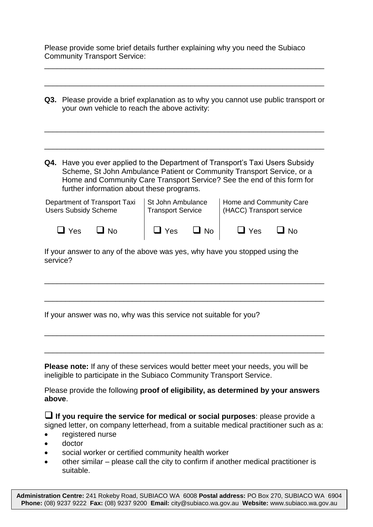|                                     | Please provide some brief details further explaining why you need the Subiaco |  |
|-------------------------------------|-------------------------------------------------------------------------------|--|
| <b>Community Transport Service:</b> |                                                                               |  |

\_\_\_\_\_\_\_\_\_\_\_\_\_\_\_\_\_\_\_\_\_\_\_\_\_\_\_\_\_\_\_\_\_\_\_\_\_\_\_\_\_\_\_\_\_\_\_\_\_\_\_\_\_\_\_\_\_\_\_\_\_\_\_\_\_\_\_

|                                                             | <b>Q3.</b> Please provide a brief explanation as to why you cannot use public transport or<br>your own vehicle to reach the above activity:                                                                                                                                 |                                               |               |                                                     |                                                                            |      |
|-------------------------------------------------------------|-----------------------------------------------------------------------------------------------------------------------------------------------------------------------------------------------------------------------------------------------------------------------------|-----------------------------------------------|---------------|-----------------------------------------------------|----------------------------------------------------------------------------|------|
| Q4.                                                         | Have you ever applied to the Department of Transport's Taxi Users Subsidy<br>Scheme, St John Ambulance Patient or Community Transport Service, or a<br>Home and Community Care Transport Service? See the end of this form for<br>further information about these programs. |                                               |               |                                                     |                                                                            |      |
| Department of Transport Taxi<br><b>Users Subsidy Scheme</b> |                                                                                                                                                                                                                                                                             | St John Ambulance<br><b>Transport Service</b> |               | Home and Community Care<br>(HACC) Transport service |                                                                            |      |
|                                                             | $\Box$ Yes                                                                                                                                                                                                                                                                  | $\Box$ No                                     | $\square$ Yes | $\Box$ No                                           | $\sqcup$ Yes                                                               | ⊿ No |
| service?                                                    |                                                                                                                                                                                                                                                                             |                                               |               |                                                     | If your answer to any of the above was yes, why have you stopped using the |      |

If your answer was no, why was this service not suitable for you?

**Please note:** If any of these services would better meet your needs, you will be ineligible to participate in the Subiaco Community Transport Service.

Please provide the following **proof of eligibility, as determined by your answers above**.

\_\_\_\_\_\_\_\_\_\_\_\_\_\_\_\_\_\_\_\_\_\_\_\_\_\_\_\_\_\_\_\_\_\_\_\_\_\_\_\_\_\_\_\_\_\_\_\_\_\_\_\_\_\_\_\_\_\_\_\_\_\_\_\_\_\_\_

\_\_\_\_\_\_\_\_\_\_\_\_\_\_\_\_\_\_\_\_\_\_\_\_\_\_\_\_\_\_\_\_\_\_\_\_\_\_\_\_\_\_\_\_\_\_\_\_\_\_\_\_\_\_\_\_\_\_\_\_\_\_\_\_\_\_\_

\_\_\_\_\_\_\_\_\_\_\_\_\_\_\_\_\_\_\_\_\_\_\_\_\_\_\_\_\_\_\_\_\_\_\_\_\_\_\_\_\_\_\_\_\_\_\_\_\_\_\_\_\_\_\_\_\_\_\_\_\_\_\_\_\_\_\_

 **If you require the service for medical or social purposes**: please provide a signed letter, on company letterhead, from a suitable medical practitioner such as a:

- registered nurse
- doctor
- social worker or certified community health worker
- other similar please call the city to confirm if another medical practitioner is suitable.

**Administration Centre:** 241 Rokeby Road, SUBIACO WA 6008 **Postal address:** PO Box 270, SUBIACO WA 6904 **Phone:** (08) 9237 9222 **Fax:** (08) 9237 9200 **Email:** [city@subiaco.wa.gov.au](mailto:city@subiaco.wa.gov.au) **Website:** [www.subiaco.wa.gov.au](http://www.subiaco.wa.gov.au/)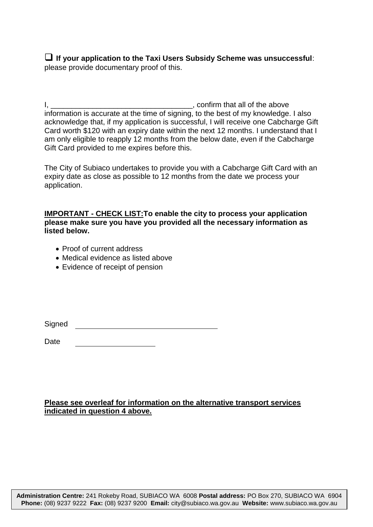**If your application to the Taxi Users Subsidy Scheme was unsuccessful**: please provide documentary proof of this.

I, \_\_\_\_\_\_\_\_\_\_\_\_\_\_\_\_\_\_\_\_\_\_\_\_\_\_\_\_\_\_\_\_\_\_, confirm that all of the above information is accurate at the time of signing, to the best of my knowledge. I also acknowledge that, if my application is successful, I will receive one Cabcharge Gift Card worth \$120 with an expiry date within the next 12 months. I understand that I am only eligible to reapply 12 months from the below date, even if the Cabcharge Gift Card provided to me expires before this.

The City of Subiaco undertakes to provide you with a Cabcharge Gift Card with an expiry date as close as possible to 12 months from the date we process your application.

**IMPORTANT - CHECK LIST:To enable the city to process your application please make sure you have you provided all the necessary information as listed below.**

- Proof of current address
- Medical evidence as listed above
- Evidence of receipt of pension

Signed

Date

#### **Please see overleaf for information on the alternative transport services indicated in question 4 above.**

**Administration Centre:** 241 Rokeby Road, SUBIACO WA 6008 **Postal address:** PO Box 270, SUBIACO WA 6904 **Phone:** (08) 9237 9222 **Fax:** (08) 9237 9200 **Email:** [city@subiaco.wa.gov.au](mailto:city@subiaco.wa.gov.au) **Website:** [www.subiaco.wa.gov.au](http://www.subiaco.wa.gov.au/)